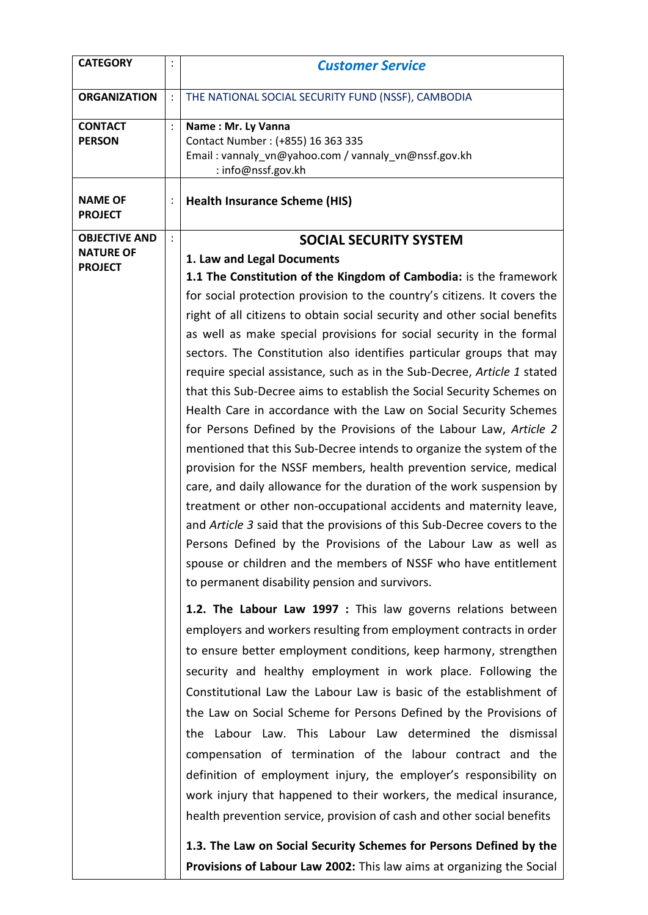| <b>CATEGORY</b>                    | $\ddot{\cdot}$ | <b>Customer Service</b>                                                                                                                                                                                                                                                                                                                                                                                                                                                                                                                                                                                                                                                                                                                                                                                                                                                                                                                                                                                                                                                                                                                                                                                                                                               |
|------------------------------------|----------------|-----------------------------------------------------------------------------------------------------------------------------------------------------------------------------------------------------------------------------------------------------------------------------------------------------------------------------------------------------------------------------------------------------------------------------------------------------------------------------------------------------------------------------------------------------------------------------------------------------------------------------------------------------------------------------------------------------------------------------------------------------------------------------------------------------------------------------------------------------------------------------------------------------------------------------------------------------------------------------------------------------------------------------------------------------------------------------------------------------------------------------------------------------------------------------------------------------------------------------------------------------------------------|
| <b>ORGANIZATION</b>                |                | THE NATIONAL SOCIAL SECURITY FUND (NSSF), CAMBODIA                                                                                                                                                                                                                                                                                                                                                                                                                                                                                                                                                                                                                                                                                                                                                                                                                                                                                                                                                                                                                                                                                                                                                                                                                    |
| <b>CONTACT</b><br><b>PERSON</b>    | $\ddot{\cdot}$ | Name: Mr. Ly Vanna<br>Contact Number: (+855) 16 363 335<br>Email: vannaly_vn@yahoo.com / vannaly_vn@nssf.gov.kh<br>: info@nssf.gov.kh                                                                                                                                                                                                                                                                                                                                                                                                                                                                                                                                                                                                                                                                                                                                                                                                                                                                                                                                                                                                                                                                                                                                 |
| <b>NAME OF</b><br><b>PROJECT</b>   |                | <b>Health Insurance Scheme (HIS)</b>                                                                                                                                                                                                                                                                                                                                                                                                                                                                                                                                                                                                                                                                                                                                                                                                                                                                                                                                                                                                                                                                                                                                                                                                                                  |
| <b>OBJECTIVE AND</b>               | $\ddot{\cdot}$ | <b>SOCIAL SECURITY SYSTEM</b>                                                                                                                                                                                                                                                                                                                                                                                                                                                                                                                                                                                                                                                                                                                                                                                                                                                                                                                                                                                                                                                                                                                                                                                                                                         |
| <b>NATURE OF</b><br><b>PROJECT</b> |                | 1. Law and Legal Documents<br>1.1 The Constitution of the Kingdom of Cambodia: is the framework<br>for social protection provision to the country's citizens. It covers the<br>right of all citizens to obtain social security and other social benefits<br>as well as make special provisions for social security in the formal<br>sectors. The Constitution also identifies particular groups that may<br>require special assistance, such as in the Sub-Decree, Article 1 stated<br>that this Sub-Decree aims to establish the Social Security Schemes on<br>Health Care in accordance with the Law on Social Security Schemes<br>for Persons Defined by the Provisions of the Labour Law, Article 2<br>mentioned that this Sub-Decree intends to organize the system of the<br>provision for the NSSF members, health prevention service, medical<br>care, and daily allowance for the duration of the work suspension by<br>treatment or other non-occupational accidents and maternity leave,<br>and Article 3 said that the provisions of this Sub-Decree covers to the<br>Persons Defined by the Provisions of the Labour Law as well as<br>spouse or children and the members of NSSF who have entitlement<br>to permanent disability pension and survivors. |
|                                    |                | 1.2. The Labour Law 1997 : This law governs relations between<br>employers and workers resulting from employment contracts in order<br>to ensure better employment conditions, keep harmony, strengthen<br>security and healthy employment in work place. Following the<br>Constitutional Law the Labour Law is basic of the establishment of<br>the Law on Social Scheme for Persons Defined by the Provisions of<br>the Labour Law. This Labour Law determined the dismissal<br>compensation of termination of the labour contract and the<br>definition of employment injury, the employer's responsibility on<br>work injury that happened to their workers, the medical insurance,<br>health prevention service, provision of cash and other social benefits<br>1.3. The Law on Social Security Schemes for Persons Defined by the<br>Provisions of Labour Law 2002: This law aims at organizing the Social                                                                                                                                                                                                                                                                                                                                                      |